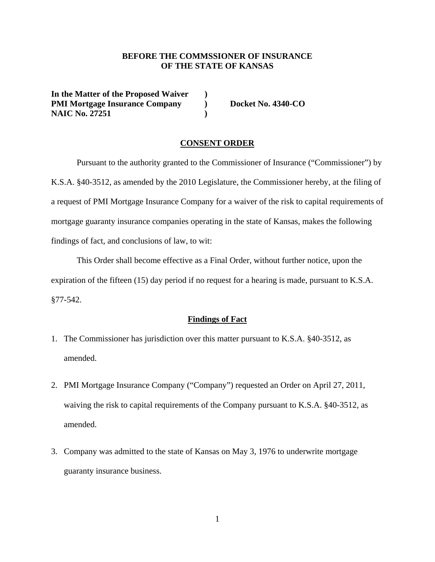### **BEFORE THE COMMSSIONER OF INSURANCE OF THE STATE OF KANSAS**

**In the Matter of the Proposed Waiver ) PMI Mortgage Insurance Company by Docket No. 4340-CO NAIC No. 27251** (1)

#### **CONSENT ORDER**

Pursuant to the authority granted to the Commissioner of Insurance ("Commissioner") by K.S.A. §40-3512, as amended by the 2010 Legislature, the Commissioner hereby, at the filing of a request of PMI Mortgage Insurance Company for a waiver of the risk to capital requirements of mortgage guaranty insurance companies operating in the state of Kansas, makes the following findings of fact, and conclusions of law, to wit:

This Order shall become effective as a Final Order, without further notice, upon the expiration of the fifteen (15) day period if no request for a hearing is made, pursuant to K.S.A. §77-542.

#### **Findings of Fact**

- 1. The Commissioner has jurisdiction over this matter pursuant to K.S.A. §40-3512, as amended.
- 2. PMI Mortgage Insurance Company ("Company") requested an Order on April 27, 2011, waiving the risk to capital requirements of the Company pursuant to K.S.A. §40-3512, as amended.
- 3. Company was admitted to the state of Kansas on May 3, 1976 to underwrite mortgage guaranty insurance business.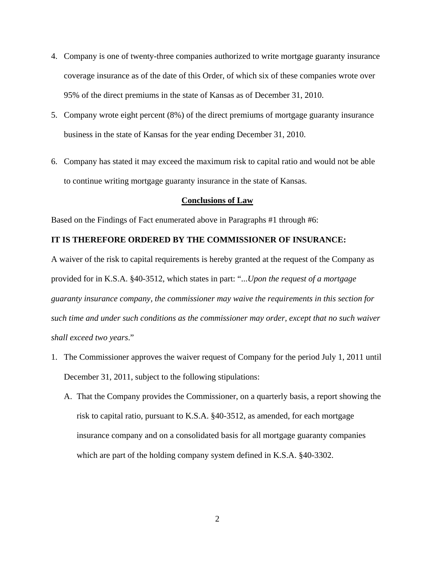- 4. Company is one of twenty-three companies authorized to write mortgage guaranty insurance coverage insurance as of the date of this Order, of which six of these companies wrote over 95% of the direct premiums in the state of Kansas as of December 31, 2010.
- 5. Company wrote eight percent (8%) of the direct premiums of mortgage guaranty insurance business in the state of Kansas for the year ending December 31, 2010.
- 6. Company has stated it may exceed the maximum risk to capital ratio and would not be able to continue writing mortgage guaranty insurance in the state of Kansas.

#### **Conclusions of Law**

Based on the Findings of Fact enumerated above in Paragraphs #1 through #6:

#### **IT IS THEREFORE ORDERED BY THE COMMISSIONER OF INSURANCE:**

A waiver of the risk to capital requirements is hereby granted at the request of the Company as provided for in K.S.A. §40-3512, which states in part: "...*Upon the request of a mortgage guaranty insurance company, the commissioner may waive the requirements in this section for such time and under such conditions as the commissioner may order, except that no such waiver shall exceed two years*."

- 1. The Commissioner approves the waiver request of Company for the period July 1, 2011 until December 31, 2011, subject to the following stipulations:
	- A. That the Company provides the Commissioner, on a quarterly basis, a report showing the risk to capital ratio, pursuant to K.S.A. §40-3512, as amended, for each mortgage insurance company and on a consolidated basis for all mortgage guaranty companies which are part of the holding company system defined in K.S.A. §40-3302.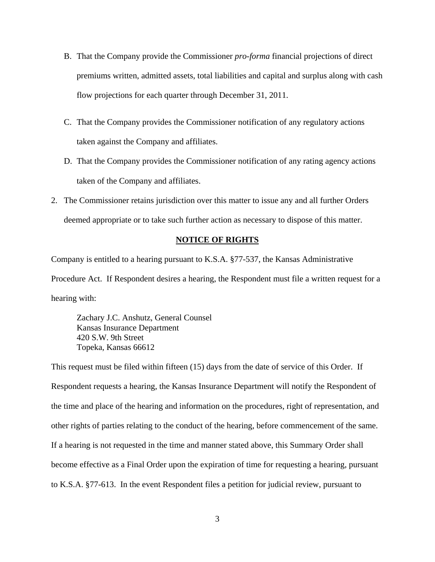- B. That the Company provide the Commissioner *pro-forma* financial projections of direct premiums written, admitted assets, total liabilities and capital and surplus along with cash flow projections for each quarter through December 31, 2011.
- C. That the Company provides the Commissioner notification of any regulatory actions taken against the Company and affiliates.
- D. That the Company provides the Commissioner notification of any rating agency actions taken of the Company and affiliates.
- 2. The Commissioner retains jurisdiction over this matter to issue any and all further Orders deemed appropriate or to take such further action as necessary to dispose of this matter.

#### **NOTICE OF RIGHTS**

Company is entitled to a hearing pursuant to K.S.A. §77-537, the Kansas Administrative

Procedure Act. If Respondent desires a hearing, the Respondent must file a written request for a hearing with:

Zachary J.C. Anshutz, General Counsel Kansas Insurance Department 420 S.W. 9th Street Topeka, Kansas 66612

This request must be filed within fifteen (15) days from the date of service of this Order. If Respondent requests a hearing, the Kansas Insurance Department will notify the Respondent of the time and place of the hearing and information on the procedures, right of representation, and other rights of parties relating to the conduct of the hearing, before commencement of the same. If a hearing is not requested in the time and manner stated above, this Summary Order shall become effective as a Final Order upon the expiration of time for requesting a hearing, pursuant to K.S.A. §77-613. In the event Respondent files a petition for judicial review, pursuant to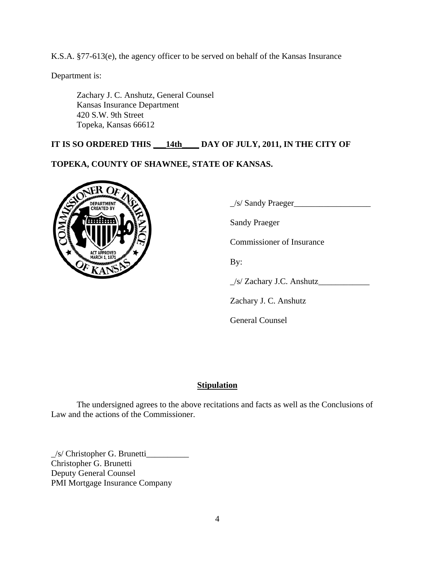K.S.A. §77-613(e), the agency officer to be served on behalf of the Kansas Insurance

Department is:

Zachary J. C. Anshutz, General Counsel Kansas Insurance Department 420 S.W. 9th Street Topeka, Kansas 66612

# **IT IS SO ORDERED THIS \_\_\_14th\_\_\_\_ DAY OF JULY, 2011, IN THE CITY OF**

# **TOPEKA, COUNTY OF SHAWNEE, STATE OF KANSAS.**



DEPARTMENT WENT CREATED BY

Sandy Praeger

Commissioner of Insurance

\_/s/ Zachary J.C. Anshutz\_\_\_\_\_\_\_\_\_\_\_\_

Zachary J. C. Anshutz

General Counsel

### **Stipulation**

The undersigned agrees to the above recitations and facts as well as the Conclusions of Law and the actions of the Commissioner.

\_/s/ Christopher G. Brunetti\_\_\_\_\_\_\_\_\_\_ Christopher G. Brunetti Deputy General Counsel PMI Mortgage Insurance Company